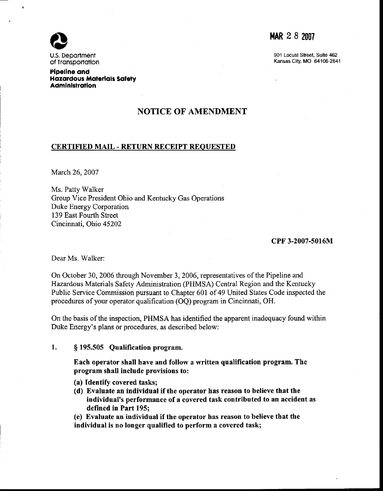

U.S. Deoortment of Tronsoortotion

Pipellne ond Hazardous Materials Safety Administration

## NOTICE OF AMENDMENT

### CERTIFIED MAIL - RETURN RECEIPT REOUESTED

March 26, 2007

Ms. Patty Walker Group Vice President Ohio and Kentucky Gas Operations Duke Energy Corporation 139 East Fourth Street Cincinnati, Ohio 45202

### cPF 3-2007-5016M

Dear Ms. Walker:

On October 30, 2006 through November 3, 2006, representatives of the Pipeline and Hazardous Materials Safety Administration (PHMSA) Central Region and the Kentucky Public Service Commission pursuant to Chapter 601 of 49 United States Code inspected the procedures of your operator qualification (OO) program in Cincinnati, OH.

On the basis of the inspection, PHMSA has identified the apparent inadequacy found within Duke Energy's plans or procedures, as described below:

### 1. \$ 195.505 Qualification program.

Each operator shall have and follow a written qualification program. The program shall include provisions to:

- (a) Identify covered tasks;
- (d) Evaluate an individual if the operator has reason to believe that the individual's performance of a covered task contributed to an accident as defined in Part 195;

(e) Evaluate an individual if the operator has reason to believe that the individual is no longer qualified to perform a covered task;

# MAR 2 8 2007

901 Locust Street, Suite 462 Kansas City, MO 64106-2641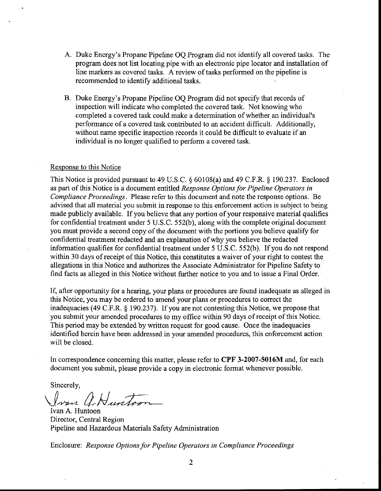- A. Duke Energy's Propane Pipeline OQ Program did not identify all covered tasks. The program does not list locating pipe with an electronic pipe locator and installation of line markers as covered tasks. A review of tasks performed on the pipeline is recommended to identify additional tasks.
- B. Duke Energy's Propane Pipeline OQ Program did not specify that records of inspection will indicate who completed the covered task. Not knowing who completed a covered task could make a determination of whether an individual's performance of a covered task confributed to an accident difficult. Additionally, without name specific inspection records it could be difficult to evaluate if an individual is no longer qualified to perform a covered task.

### Response to this Notice

This Notice is provided pursuant to 49 U.S.C. \$ 60108(a) and 49 C.F.R. \$ 190.237. Enclosed as part of this Notice is a document entitled Response Options for Pipeline Operators in Compliance Proceedings. Please refer to this document and note the response options. Be advised that all material you submit in response to this enforcement action is subject to being made publicly available. If you believe that any portion of your responsive material qualifies for confidential treatment under 5 U.S.C. 552(b), along with the complete original document you must provide a second copy of the document with the portions you believe qualify for confidential treatment redacted and an explanation of why you believe the redacted information qualifies for confidential treatment under 5 U.S.C. 552(b). If you do not respond within 30 days of receipt of this Notice, this constitutes a waiver of your right to contest the allegations in this Notice and authorizes the Associate Administrator for Pipeline Safety to frnd facts as alleged in this Notice without further notice to you and to issue a Final Order.

If, after opporturuty for a hearing, your plans or procedures are found inadequate as alleged in this Notice, you may be ordered to amend your plans or procedures to correct the inadequacies (49 C.F.R. \$ 190.237). If you are not contesting this Notice, we propose that you submit your amended procedures to my office within 90 days of receipt of this Notice. This period may be extended by written request for good cause. Once the inadequacies identified herein have been addressed in your amended procedures, this enforcement action will be closed.

In correspondence concerning this matter, please refer to CPF 3-2007-5016M and, for each document you submit, please provide a copy in electronic format whenever possible.

Sincerelv.

Jvan A.Huntoon

Ivan A. Huntoon Director, Central Region Pipeline and Hazardous Materials Safety Administration

Enclosure: Response Options for Pipeline Operators in Compliance Proceedings

 $\overline{2}$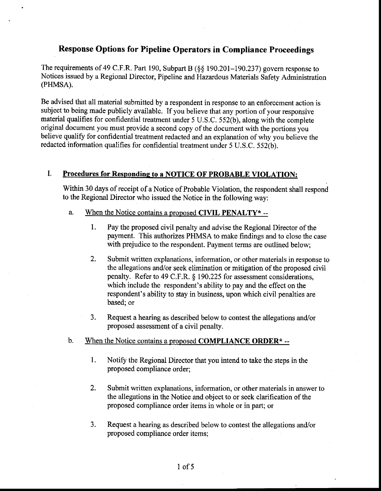# Response Options for Pipeline Operators in Compliance Proceedings

The requirements of 49 C.F.R. Part 190, Subpart B (§§ 190.201-190.237) govern response to Notices issued by a Regional Director, Pipeline and Hazardous Materials Safety Administration (PHMSA).

Be advised that all material submitted by a respondent in response to an enforcernent action is subject to being made publicly available. If you believe that any portion of your responsive material qualifies for confidential treatment under 5 U.S.C. 552(b), along with the complete original document you must provide a second copy of the document with the portions you believe qualify for confidential treatment redacted and an explanation of why you believe the redacted information qualifies for confidential treatment under 5 U.S.C. 552(b).

### I. Procedures for Responding to a NOTICE OF PROBABLE VIOLATION:

Within 30 days of receipt of a Notice of Probable Violation, the respondent shall respond to the Regional Director who issued the Notice in the following way;

#### a. When the Notice contains a proposed CIVIL PENALTY\* --

- Pay the proposed civil penalty and advise the Regional Director of the payment. This authorizes PHMSA to make findings and to close the case with prejudice to the respondent. Payment terms are outlined below; l.
- $2.$ Submit written explanations, information, or other materials in response to the allegations and/or seek elimination or mitigation of the proposed civil penalty. Refer to 49 C.F.R. \$ 190.225 for assessment considerations, which include the respondent's ability to pay and the effect on the respondent's ability to stay in business, upon which civil penalties are based; or
- Request a hearing as described below to contest the allegations and/or proposed assessment of a civil penalty. 3.

#### $<sub>b</sub>$ </sub> When the Notice contains a proposed COMPLIANCE ORDER $*$  --

- 1. Notify the Regional Director that you intend to take the steps in the proposed compliance order;
- $2.$ Submit written explanations, information, or other materials in answer to the allegations in the Notice and object to or seek clarification of the proposed compliance order items in whole or in part; or
- Request a hearing as described below to contest the allegations and/or proposed compliance order items;  $3.$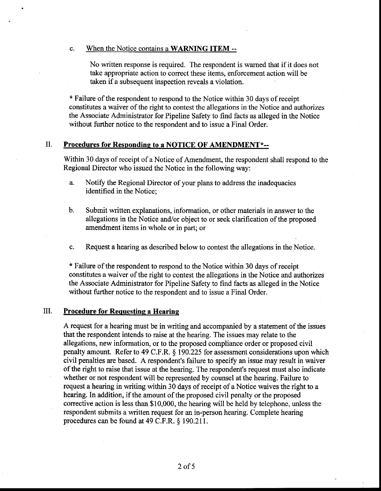### c. When the Notice contains a WARNING ITEM --

No written response is required. The respondent is wamed that if it does not take appropriate action to correct these items, enforcement action will be taken if a subsequent inspection reveals a violation.

\* Failure of the respondent to respond to the Notice within 30 days of receipt constitutes a waiver of the right to contest the allegations in the Notice and authorizes the Associate Administrator for Pipeline Safety to find facts as alleged in the Notice without further notice to the respondent and to issue a Final Order.

#### II. Procedures for Responding to a NOTICE OF AMENDMENT\*--

Within 30 days of receipt of a Notice of Amendment, the respondent shall respond to the Regional Director who issued the Notice in the following way:

a. Notify the Regional.Director of your plans to address the inadequacies identified in the Notice:

h. Submit written explanations, information, or other materials in answer to the allegations in the Notice and/or object to or seek clarification of the proposed amendment items in whole or in part; or

 $\mathbf{c}$ . Request a hearing as described below to contest the allegations in the Notice.

\* Failure of the respondent to respond to the Notice within 30 days of receipt constitutes a waiver of the right to contest the allegations in the Notice and authorizes the Associate Adminisffator for Pipeline Safety to find facts as alleged in the Notice without further notice to the respondent and to issue a Final Order.

#### III. Procedure for Requestinq a Hearing

A request for a hearing must be in writing and accompanied by a statement of the issues that the respondent intends to raise at the hearing. The issues may relate to the allegations, new information, or to the proposed compliance order or proposed civil penalty amount. Refer to 49 C.F.R, \$ 190.225 for assessment considerations upon which civil penalties are based. A respondent's failure to specify an issue may result in waiver of the right to raise that issue at the hearing. The respondent's request must also indicate whether or not respondent will be represented by counsel at the hearing. Failure to request a hearing in writing within 30 days of receipt of a Notice waives the right to a hearing. In addition, if the amount of the proposed civil penalty or the proposed corrective action is less than \$10,000, the hearing will be held by telephone, unless the respondent submits a written request for an in-person hearing. Complete hearing procedures can be found at 49 C.F.R. § 190.211.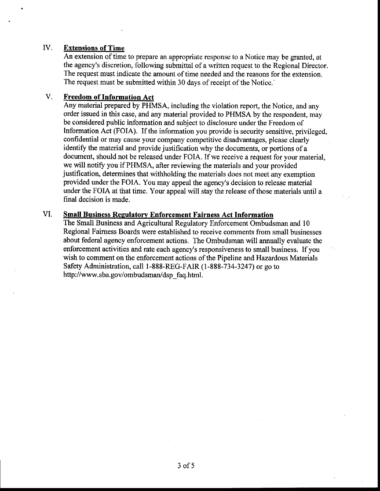### IV. Extensions of Time

An extension of time to prepare an appropriate response to a Notice may be granted, at the agency's discretion, following submittal of a written request to the Regional Director. The request must indicate the amount of time needed and the reasons for the extension. The request must be submitted within 30 days of receipt of the Notice.'

#### V. Freedom of Information Act

Any material prepared by PHMSA, including the violation report, the Notice, and any order issued in this case, and any material provided to PHMSA by the respondent, may be considered public information and subject to disclosure under the Freedom of Information Act (FOIA). If the information you provide is security sensitive, privileged, confidential or may cause your company competitive disadvantages, please clearly identify the material and provide justification why the documents, or portions of a document, should not be released under FOIA. If we receive a request for your material, we will notify you if PHMSA, after reviewing the materials and your provided justification, determines that withholding the materials does not meet any exemption provided under the FOIA. You may appeal the agency's decision to release material under the FOIA at that time. Your appeal will stay the release of those materials until a final decision is made.

### **Small Business Regulatory Enforcement Fairness Act Information** VI.

The Small Business and Agricultural Regulatory Enforcement Ombudsman and l0 Regional Faimess Boards were established to receive comments from small businesses about federal agency enforcement actions. The Ombudsman will annually evaluate the enforcement activities and rate each agency's responsiveness to small business. If you wish to comment on the enforcement actions of the Pipeline and Hazardous Materials Safety Administration, call I-888-REG-FAIR (1-888-734-3247) or go to http ://www. sba. gov/ombudsman/dsp\_faq. html.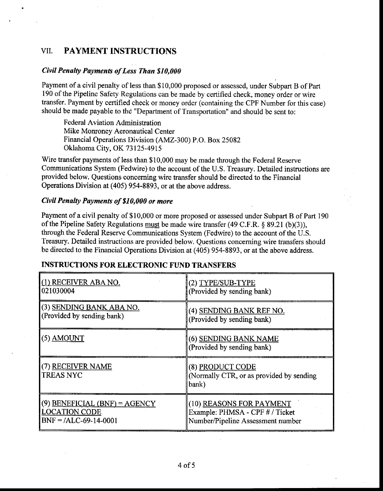# VII. PAYMENT INSTRUCTIONS

## Civil Penulty Payments of Less Than \$10,000

Payment of a civil penalty of less than \$10,000 proposed or assessed, under Subpart B of Part 190 of the Pipeline Safety Regulations can be made by certified check, money order or wire transfer. Payment by certified check or money order (containing the CPF Number for this case) should be made payable to the "Department of Transportation" and should be sent to:

Federal Aviation Administration Mike Monroney Aeronautical Center Financial Operations Division (AMZ-300) P.O. Box 25082 Oklahoma City, OK 73125-4915

Wire transfer payments of less than \$10,000 may be made through the Federal Reserve Communications System (Fedwire) to the account of the U.S. Treasury. Detailed instructions are provided below. Questions conceming wire transfer should be directed to the Financial Operations Division at (405) 954-8893, or at the above address.

## Civil Penally Payments of \$10,000 or more

Payment of a civil penalty of \$10,000 or more proposed or assessed under Subpart B of Part 190 of the Pipeline Safety Regulations must be made wire transfer (49 C.F.R.  $\S$  89.21 (b)(3)), through the Federal Reserve Communications System (Fedwire) to the account of the U.S. Treasury. Detailed instructions are provided below. Questions soncerning wire transfers should be directed to the Financial Operations Division at (405) 954-8893, or at the above address.

## INSTRUCTIONS FOR ELECTRONIC FUND TRANSFERS

| (1) RECEIVER ABA NO.                  | (2) TYPE/SUB-TYPE                                                     |
|---------------------------------------|-----------------------------------------------------------------------|
| 021030004                             | (Provided by sending bank)                                            |
| (3) SENDING BANK ABA NO.              | (4) SENDING BANK REF NO.                                              |
| (Provided by sending bank)            | (Provided by sending bank)                                            |
| $(5)$ AMOUNT                          | (6) SENDING BANK NAME<br>(Provided by sending bank)                   |
| (7) RECEIVER NAME<br><b>TREAS NYC</b> | (8) PRODUCT CODE<br>(Normally CTR, or as provided by sending<br>bank) |
| $(9)$ BENEFICIAL (BNF) = AGENCY       | (10) REASONS FOR PAYMENT                                              |
| <b>LOCATION CODE</b>                  | Example: PHMSA - CPF # / Ticket                                       |
| $BNF = /ALC-69-14-0001$               | Number/Pipeline Assessment number                                     |